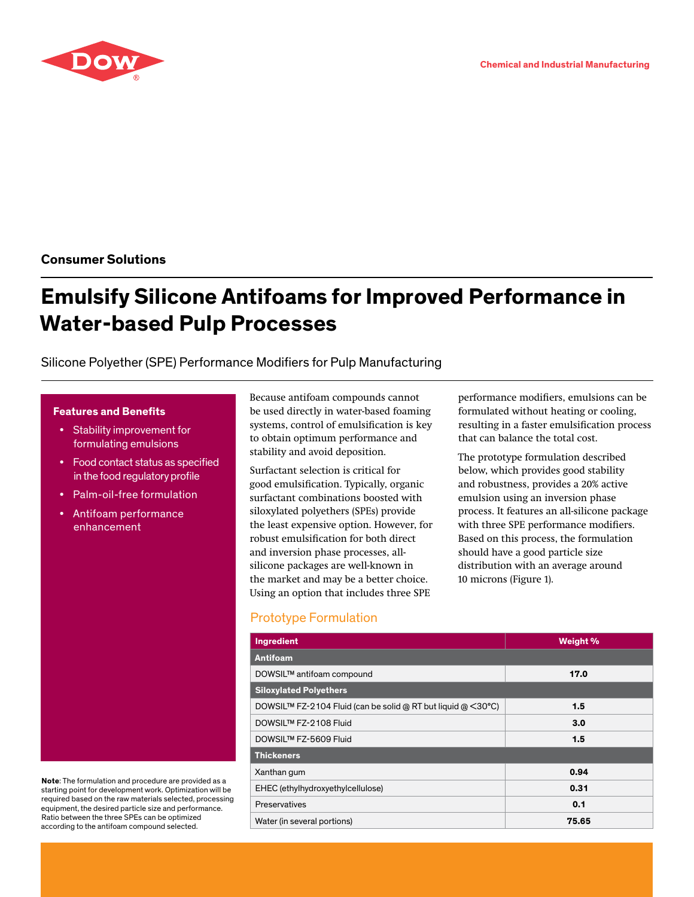

**Consumer Solutions**

# **Emulsify Silicone Antifoams for Improved Performance in Water-based Pulp Processes**

# Silicone Polyether (SPE) Performance Modifiers for Pulp Manufacturing

#### **Features and Benefits**

- Stability improvement for formulating emulsions
- Food contact status as specified in the food regulatory profile
- Palm-oil-free formulation
- Antifoam performance enhancement

**Note**: The formulation and procedure are provided as a starting point for development work. Optimization will be required based on the raw materials selected, processing equipment, the desired particle size and performance. Ratio between the three SPEs can be optimized according to the antifoam compound selected.

Because antifoam compounds cannot be used directly in water-based foaming systems, control of emulsification is key to obtain optimum performance and stability and avoid deposition.

Surfactant selection is critical for good emulsification. Typically, organic surfactant combinations boosted with siloxylated polyethers (SPEs) provide the least expensive option. However, for robust emulsification for both direct and inversion phase processes, allsilicone packages are well-known in the market and may be a better choice. Using an option that includes three SPE

# Prototype Formulation

**Ingredient Weight % Antifoam** DOWSIL™ antifoam compound **17.0 Siloxylated Polyethers** DOWSIL™ FZ-2104 Fluid (can be solid @ RT but liquid @ <30°C) **1.5** DOWSIL™ FZ-2108 Fluid **3.0** DOWSIL™ FZ-5609 Fluid **1.5 Thickeners** Xanthan gum **0.94** EHEC (ethylhydroxyethylcellulose) **0.31** Preservatives **0.1** 

Water (in several portions) **75.65**

performance modifiers, emulsions can be formulated without heating or cooling, resulting in a faster emulsification process that can balance the total cost.

The prototype formulation described below, which provides good stability and robustness, provides a 20% active emulsion using an inversion phase process. It features an all-silicone package with three SPE performance modifiers. Based on this process, the formulation should have a good particle size distribution with an average around 10 microns (Figure 1).